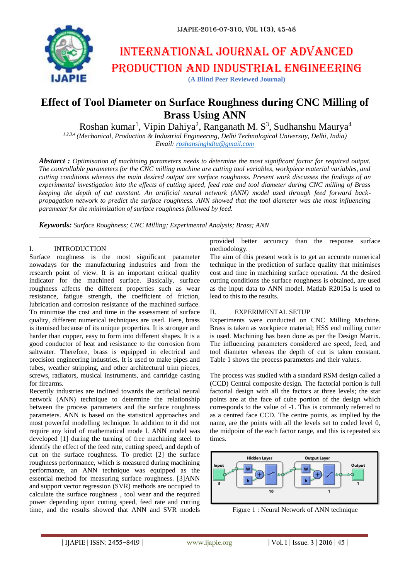

# International journal of advanced production and industrial engineering

### **(A Blind Peer Reviewed Journal)**

## **Effect of Tool Diameter on Surface Roughness during CNC Milling of Brass Using ANN**

Roshan kumar<sup>1</sup>, Vipin Dahiya<sup>2</sup>, Ranganath M. S<sup>3</sup>, Sudhanshu Maurya<sup>4</sup>

*1,2,3,4 (Mechanical, Production & Industrial Engineering, Delhi Technological University, Delhi, India) Email: [roshansinghdtu@gmail.com](mailto:roshansinghdtu@gmail.com)*

*Abstarct : Optimisation of machining parameters needs to determine the most significant factor for required output. The controllable parameters for the CNC milling machine are cutting tool variables, workpiece material variables, and cutting conditions whereas the main desired output are surface roughness. Present work discusses the findings of an experimental investigation into the effects of cutting speed, feed rate and tool diameter during CNC milling of Brass keeping the depth of cut constant. An artificial neural network (ANN) model used through feed forward backpropagation network to predict the surface roughness. ANN showed that the tool diameter was the most influencing parameter for the minimization of surface roughness followed by feed.*

*Keywords: Surface Roughness; CNC Milling; Experimental Analysis; Brass; ANN*

#### I. INTRODUCTION

Surface roughness is the most significant parameter nowadays for the manufacturing industries and from the research point of view. It is an important critical quality indicator for the machined surface. Basically, surface roughness affects the different properties such as wear resistance, fatigue strength, the coefficient of friction, lubrication and corrosion resistance of the machined surface. To minimise the cost and time in the assessment of surface quality, different numerical techniques are used. Here, brass is itemised because of its unique properties. It is stronger and harder than copper, easy to form into different shapes. It is a good conductor of heat and resistance to the corrosion from saltwater. Therefore, brass is equipped in electrical and precision engineering industries. It is used to make pipes and tubes, weather stripping, and other architectural trim pieces, screws, radiators, musical instruments, and cartridge casting for firearms.

Recently industries are inclined towards the artificial neural network (ANN) technique to determine the relationship between the process parameters and the surface roughness parameters. ANN is based on the statistical approaches and most powerful modelling technique. In addition to it did not require any kind of mathematical mode l. ANN model was developed [1] during the turning of free machining steel to identify the effect of the feed rate, cutting speed, and depth of cut on the surface roughness. To predict [2] the surface roughness performance, which is measured during machining performance, an ANN technique was equipped as the essential method for measuring surface roughness. [3]ANN and support vector regression (SVR) methods are occupied to calculate the surface roughness , tool wear and the required power depending upon cutting speed, feed rate and cutting time, and the results showed that ANN and SVR models

provided better accuracy than the response surface methodology.

The aim of this present work is to get an accurate numerical technique in the prediction of surface quality that minimises cost and time in machining surface operation. At the desired cutting conditions the surface roughness is obtained, are used as the input data to ANN model. Matlab R2015a is used to lead to this to the results.

#### II. EXPERIMENTAL SETUP

Experiments were conducted on CNC Milling Machine. Brass is taken as workpiece material; HSS end milling cutter is used. Machining has been done as per the Design Matrix. The influencing parameters considered are speed, feed, and tool diameter whereas the depth of cut is taken constant. Table 1 shows the process parameters and their values.

The process was studied with a standard RSM design called a (CCD) Central composite design. The factorial portion is full factorial design with all the factors at three levels; the star points are at the face of cube portion of the design which corresponds to the value of -1. This is commonly referred to as a centred face CCD. The centre points, as implied by the name, are the points with all the levels set to coded level 0, the midpoint of the each factor range, and this is repeated six times.



Figure 1 : Neural Network of ANN technique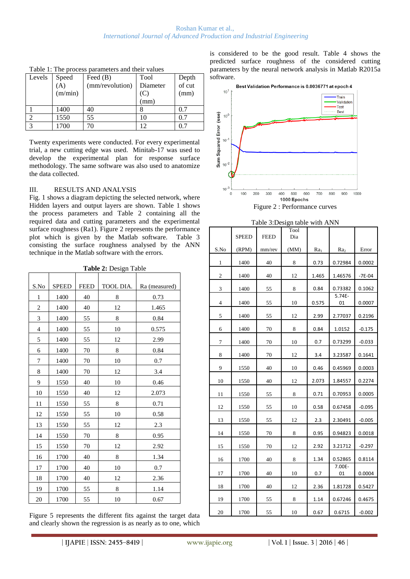| Levels | Speed                      | Feed $(B)$      | Tool     |                 |
|--------|----------------------------|-----------------|----------|-----------------|
|        | $\left( \mathbf{A}\right)$ | (mm/revolution) | Diameter | Depth<br>of cut |
|        | (m/min)                    |                 | (C)      | (mm)            |
|        |                            |                 | (mm)     |                 |
|        | 1400                       | 40              |          | 0.7             |
|        | 1550                       | 55              |          | 0.7             |
| 3      | 1700                       |                 |          | 0.7             |

Table 1: The process parameters and their values

Twenty experiments were conducted. For every experimental trial, a new cutting edge was used. Minitab-17 was used to develop the experimental plan for response surface methodology. The same software was also used to anatomize the data collected.

#### III. RESULTS AND ANALYSIS

Fig. 1 shows a diagram depicting the selected network, where Hidden layers and output layers are shown. Table 1 shows the process parameters and Table 2 containing all the required data and cutting parameters and the experimental surface roughness (Ra1). Figure 2 represents the performance plot which is given by the Matlab software. Table 3 consisting the surface roughness analysed by the ANN technique in the Matlab software with the errors.

| S.No                        | <b>SPEED</b> | <b>FEED</b> | TOOL DIA. | Ra (measured) |
|-----------------------------|--------------|-------------|-----------|---------------|
| 1                           | 1400         | 40          | 8         | 0.73          |
| $\overline{2}$              | 1400         | 40          | 12        | 1.465         |
| $\ensuremath{\mathfrak{Z}}$ | 1400         | 55          | 8         | 0.84          |
| $\overline{4}$              | 1400         | 55          | 10        | 0.575         |
| 5                           | 1400         | 55          | 12        | 2.99          |
| 6                           | 1400         | 70          | 8         | 0.84          |
| 7                           | 1400         | 70          | 10        | 0.7           |
| 8                           | 1400         | 70          | 12        | 3.4           |
| 9                           | 1550         | 40          | 10        | 0.46          |
| 10                          | 1550         | 40          | 12        | 2.073         |
| 11                          | 1550         | 55          | 8         | 0.71          |
| 12                          | 1550         | 55          | 10        | 0.58          |
| 13                          | 1550         | 55          | 12        | 2.3           |
| 14                          | 1550         | 70          | 8         | 0.95          |
| 15                          | 1550         | 70          | 12        | 2.92          |
| 16                          | 1700         | 40          | 8         | 1.34          |
| 17                          | 1700         | 40          | 10        | 0.7           |
| 18                          | 1700         | 40          | 12        | 2.36          |
| 19                          | 1700         | 55          | 8         | 1.14          |
| 20                          | 1700         | 55          | 10        | 0.67          |

**Table 2:** Design Table

Figure 5 represents the different fits against the target data and clearly shown the regression is as nearly as to one, which is considered to be the good result. Table 4 shows the predicted surface roughness of the considered cutting parameters by the neural network analysis in Matlab R2015a software.



| Table 3:Design table with ANN |              |             |             |        |                 |          |
|-------------------------------|--------------|-------------|-------------|--------|-----------------|----------|
|                               | <b>SPEED</b> | <b>FEED</b> | Tool<br>Dia |        |                 |          |
| S.No                          | (RPM)        | mm/rev      | (MM)        | $Ra_1$ | Ra <sub>2</sub> | Error    |
| 1                             | 1400         | 40          | 8           | 0.73   | 0.72984         | 0.0002   |
| 2                             | 1400         | 40          | 12          | 1.465  | 1.46576         | $-7E-04$ |
| 3                             | 1400         | 55          | 8           | 0.84   | 0.73382         | 0.1062   |
| $\overline{4}$                | 1400         | 55          | 10          | 0.575  | 5.74E-<br>01    | 0.0007   |
| 5                             | 1400         | 55          | 12          | 2.99   | 2.77037         | 0.2196   |
| 6                             | 1400         | 70          | 8           | 0.84   | 1.0152          | $-0.175$ |
| 7                             | 1400         | 70          | 10          | 0.7    | 0.73299         | $-0.033$ |
| 8                             | 1400         | 70          | 12          | 3.4    | 3.23587         | 0.1641   |
| 9                             | 1550         | 40          | 10          | 0.46   | 0.45969         | 0.0003   |
| 10                            | 1550         | 40          | 12          | 2.073  | 1.84557         | 0.2274   |
| 11                            | 1550         | 55          | 8           | 0.71   | 0.70953         | 0.0005   |
| 12                            | 1550         | 55          | 10          | 0.58   | 0.67458         | $-0.095$ |
| 13                            | 1550         | 55          | 12          | 2.3    | 2.30491         | $-0.005$ |
| 14                            | 1550         | 70          | 8           | 0.95   | 0.94823         | 0.0018   |
| 15                            | 1550         | 70          | 12          | 2.92   | 3.21712         | $-0.297$ |
| 16                            | 1700         | 40          | 8           | 1.34   | 0.52865         | 0.8114   |
| 17                            | 1700         | 40          | 10          | 0.7    | 7.00E-<br>01    | 0.0004   |
| 18                            | 1700         | 40          | 12          | 2.36   | 1.81728         | 0.5427   |
| 19                            | 1700         | 55          | 8           | 1.14   | 0.67246         | 0.4675   |
| 20                            | 1700         | 55          | 10          | 0.67   | 0.6715          | $-0.002$ |
|                               |              |             |             |        |                 |          |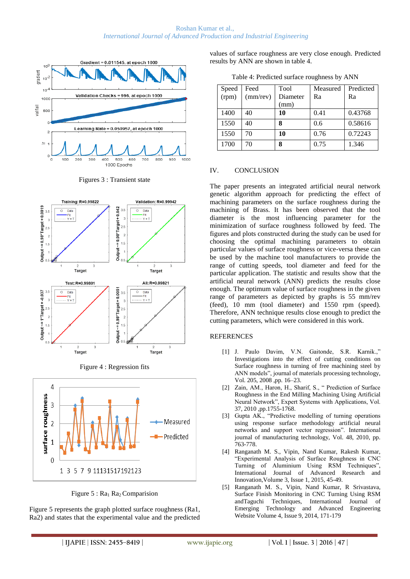





Figure 4 : Regression fits



Figure  $5: Ra_1 Ra_2$  Comparision

Figure 5 represents the graph plotted surface roughness (Ra1, Ra2) and states that the experimental value and the predicted values of surface roughness are very close enough. Predicted results by ANN are shown in table 4.

|  | Table 4: Predicted surface roughness by ANN |  |
|--|---------------------------------------------|--|
|  |                                             |  |

| Speed          | Feed           | Tool     | Measured | Predicted |
|----------------|----------------|----------|----------|-----------|
| $\text{(rpm)}$ | $(mm$ /rev $)$ | Diameter | Ra       | Ra        |
|                |                | (mm)     |          |           |
| 1400           | 40             | 10       | 0.41     | 0.43768   |
| 1550           | 40             | 8        | 0.6      | 0.58616   |
| 1550           | 70             | 10       | 0.76     | 0.72243   |
| 1700           | 70             | 8        | 0.75     | 1.346     |

#### IV. CONCLUSION

The paper presents an integrated artificial neural network genetic algorithm approach for predicting the effect of machining parameters on the surface roughness during the machining of Brass. It has been observed that the tool diameter is the most influencing parameter for the minimization of surface roughness followed by feed. The figures and plots constructed during the study can be used for choosing the optimal machining parameters to obtain particular values of surface roughness or vice-versa these can be used by the machine tool manufacturers to provide the range of cutting speeds, tool diameter and feed for the particular application. The statistic and results show that the artificial neural network (ANN) predicts the results close enough. The optimum value of surface roughness in the given range of parameters as depicted by graphs is 55 mm/rev (feed), 10 mm (tool diameter) and 1550 rpm (speed). Therefore, ANN technique results close enough to predict the cutting parameters, which were considered in this work.

#### **REFERENCES**

- [1] J. Paulo Davim, V.N. Gaitonde, S.R. Karnik.," Investigations into the effect of cutting conditions on Surface roughness in turning of free machining steel by ANN models", journal of materials processing technology, Vol. 205, 2008 ,pp. 16–23.
- [2] Zain, AM., Haron, H., Sharif, S., " Prediction of Surface Roughness in the End Milling Machining Using Artificial Neural Network", Expert Systems with Applications, Vol. 37, 2010 ,pp.1755-1768.
- [3] Gupta AK., "Predictive modelling of turning operations using response surface methodology artificial neural networks and support vector regression". International journal of manufacturing technology, Vol. 48, 2010, pp. 763-778.
- [4] Ranganath M. S., Vipin, Nand Kumar, Rakesh Kumar, "Experimental Analysis of Surface Roughness in CNC Turning of Aluminium Using RSM Techniques", International Journal of Advanced Research and Innovation,Volume 3, Issue 1, 2015, 45-49.
- [5] Ranganath M. S., Vipin, Nand Kumar, R Srivastava, Surface Finish Monitoring in CNC Turning Using RSM andTaguchi Techniques, International Journal of Emerging Technology and Advanced Engineering Website Volume 4, Issue 9, 2014, 171-179